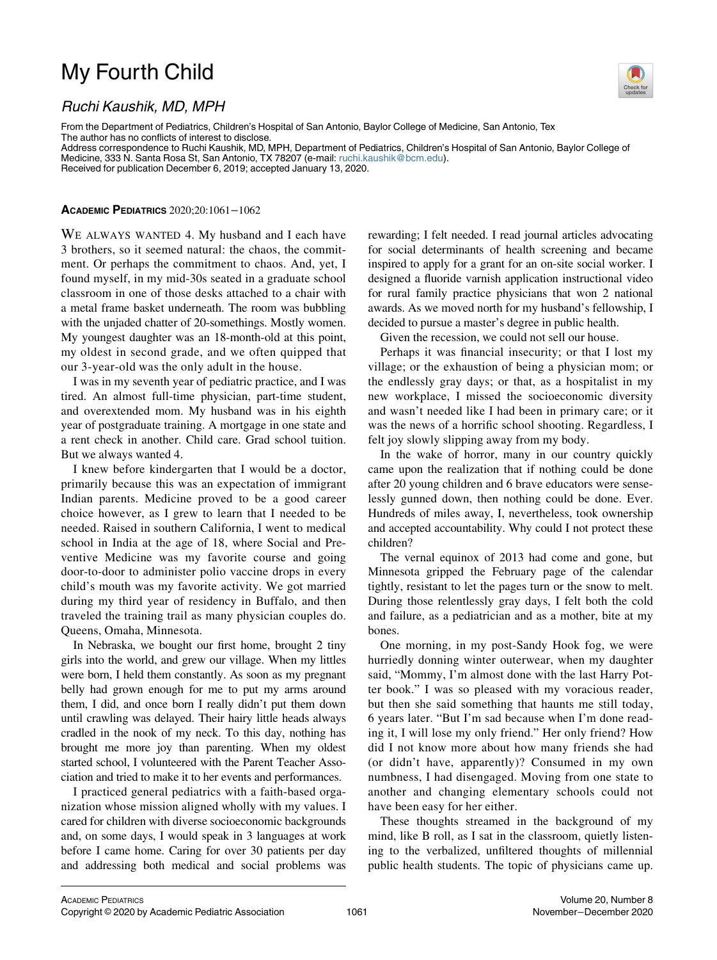# My Fourth Child

## Ruchi Kaushik, MD, MPH



From the Department of Pediatrics, Children's Hospital of San Antonio, Baylor College of Medicine, San Antonio, Tex The author has no conflicts of interest to disclose. Address correspondence to Ruchi Kaushik, MD, MPH, Department of Pediatrics, Children's Hospital of San Antonio, Baylor College of

Medicine, 333 N. Santa Rosa St, San Antonio, TX 78207 (e-mail: [ruchi.kaushik@bcm.edu\)](mailto:ruchi.kaushik@bcm.edu). Received for publication December 6, 2019; accepted January 13, 2020.

#### ACADEMIC PEDIATRICS 2020;20:1061−1062

WE ALWAYS WANTED 4. My husband and I each have 3 brothers, so it seemed natural: the chaos, the commitment. Or perhaps the commitment to chaos. And, yet, I found myself, in my mid-30s seated in a graduate school classroom in one of those desks attached to a chair with a metal frame basket underneath. The room was bubbling with the unjaded chatter of 20-somethings. Mostly women. My youngest daughter was an 18-month-old at this point, my oldest in second grade, and we often quipped that our 3-year-old was the only adult in the house.

I was in my seventh year of pediatric practice, and I was tired. An almost full-time physician, part-time student, and overextended mom. My husband was in his eighth year of postgraduate training. A mortgage in one state and a rent check in another. Child care. Grad school tuition. But we always wanted 4.

I knew before kindergarten that I would be a doctor, primarily because this was an expectation of immigrant Indian parents. Medicine proved to be a good career choice however, as I grew to learn that I needed to be needed. Raised in southern California, I went to medical school in India at the age of 18, where Social and Preventive Medicine was my favorite course and going door-to-door to administer polio vaccine drops in every child's mouth was my favorite activity. We got married during my third year of residency in Buffalo, and then traveled the training trail as many physician couples do. Queens, Omaha, Minnesota.

In Nebraska, we bought our first home, brought 2 tiny girls into the world, and grew our village. When my littles were born, I held them constantly. As soon as my pregnant belly had grown enough for me to put my arms around them, I did, and once born I really didn't put them down until crawling was delayed. Their hairy little heads always cradled in the nook of my neck. To this day, nothing has brought me more joy than parenting. When my oldest started school, I volunteered with the Parent Teacher Association and tried to make it to her events and performances.

I practiced general pediatrics with a faith-based organization whose mission aligned wholly with my values. I cared for children with diverse socioeconomic backgrounds and, on some days, I would speak in 3 languages at work before I came home. Caring for over 30 patients per day and addressing both medical and social problems was rewarding; I felt needed. I read journal articles advocating for social determinants of health screening and became inspired to apply for a grant for an on-site social worker. I designed a fluoride varnish application instructional video for rural family practice physicians that won 2 national awards. As we moved north for my husband's fellowship, I decided to pursue a master's degree in public health.

Given the recession, we could not sell our house.

Perhaps it was financial insecurity; or that I lost my village; or the exhaustion of being a physician mom; or the endlessly gray days; or that, as a hospitalist in my new workplace, I missed the socioeconomic diversity and wasn't needed like I had been in primary care; or it was the news of a horrific school shooting. Regardless, I felt joy slowly slipping away from my body.

In the wake of horror, many in our country quickly came upon the realization that if nothing could be done after 20 young children and 6 brave educators were senselessly gunned down, then nothing could be done. Ever. Hundreds of miles away, I, nevertheless, took ownership and accepted accountability. Why could I not protect these children?

The vernal equinox of 2013 had come and gone, but Minnesota gripped the February page of the calendar tightly, resistant to let the pages turn or the snow to melt. During those relentlessly gray days, I felt both the cold and failure, as a pediatrician and as a mother, bite at my bones.

One morning, in my post-Sandy Hook fog, we were hurriedly donning winter outerwear, when my daughter said, "Mommy, I'm almost done with the last Harry Potter book." I was so pleased with my voracious reader, but then she said something that haunts me still today, 6 years later. "But I'm sad because when I'm done reading it, I will lose my only friend." Her only friend? How did I not know more about how many friends she had (or didn't have, apparently)? Consumed in my own numbness, I had disengaged. Moving from one state to another and changing elementary schools could not have been easy for her either.

These thoughts streamed in the background of my mind, like B roll, as I sat in the classroom, quietly listening to the verbalized, unfiltered thoughts of millennial public health students. The topic of physicians came up.